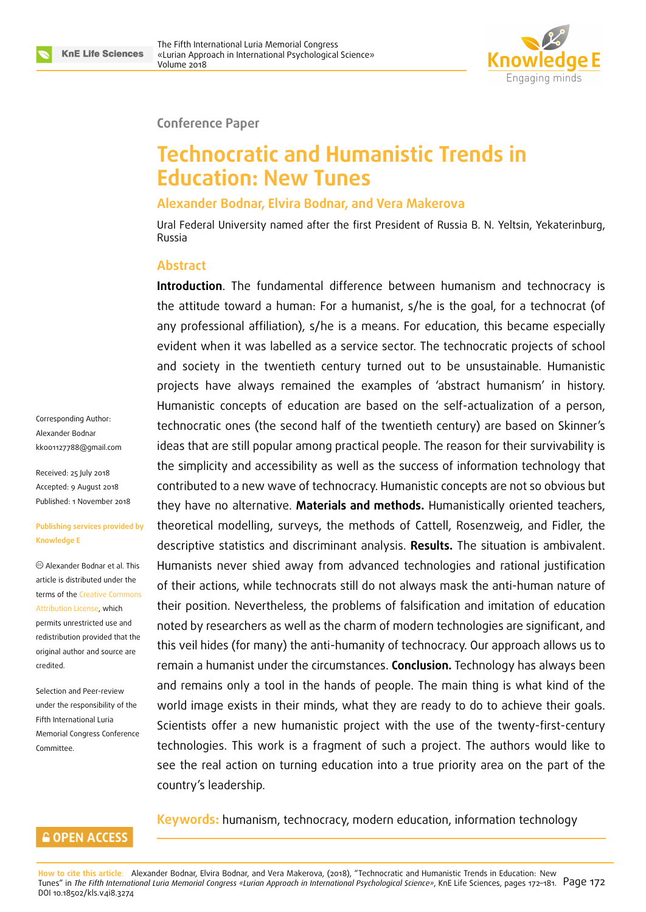

#### **Conference Paper**

# **Technocratic and Humanistic Trends in Education: New Tunes**

#### **Alexander Bodnar, Elvira Bodnar, and Vera Makerova**

Ural Federal University named after the first President of Russia B. N. Yeltsin, Yekaterinburg, Russia

#### **Abstract**

Corresponding Author: Alexander Bodnar kk001127788@gmail.com

Received: 25 July 2018 Accepted: 9 August 2018 [Published: 1 November 20](mailto:kk001127788@gmail.com)18

#### **Publishing services provided by Knowledge E**

Alexander Bodnar et al. This article is distributed under the terms of the Creative Commons Attribution License, which permits unrestricted use and redistribution provided that the original auth[or and source are](https://creativecommons.org/licenses/by/4.0/) [credited.](https://creativecommons.org/licenses/by/4.0/)

Selection and Peer-review under the responsibility of the Fifth International Luria Memorial Congress Conference Committee.

**Introduction**. The fundamental difference between humanism and technocracy is the attitude toward a human: For a humanist, s/he is the goal, for a technocrat (of any professional affiliation), s/he is a means. For education, this became especially evident when it was labelled as a service sector. The technocratic projects of school and society in the twentieth century turned out to be unsustainable. Humanistic projects have always remained the examples of 'abstract humanism' in history. Humanistic concepts of education are based on the self-actualization of a person, technocratic ones (the second half of the twentieth century) are based on Skinner's ideas that are still popular among practical people. The reason for their survivability is the simplicity and accessibility as well as the success of information technology that contributed to a new wave of technocracy. Humanistic concepts are not so obvious but they have no alternative. **Materials and methods.** Humanistically oriented teachers, theoretical modelling, surveys, the methods of Cattell, Rosenzweig, and Fidler, the descriptive statistics and discriminant analysis. **Results.** The situation is ambivalent. Humanists never shied away from advanced technologies and rational justification of their actions, while technocrats still do not always mask the anti-human nature of their position. Nevertheless, the problems of falsification and imitation of education noted by researchers as well as the charm of modern technologies are significant, and this veil hides (for many) the anti-humanity of technocracy. Our approach allows us to remain a humanist under the circumstances. **Conclusion.** Technology has always been and remains only a tool in the hands of people. The main thing is what kind of the world image exists in their minds, what they are ready to do to achieve their goals. Scientists offer a new humanistic project with the use of the twenty-first-century technologies. This work is a fragment of such a project. The authors would like to see the real action on turning education into a true priority area on the part of the country's leadership.

#### **Keywords:** humanism, technocracy, modern education, information technology

#### **GOPEN ACCESS**

**How to cite this article**: Alexander Bodnar, Elvira Bodnar, and Vera Makerova, (2018), "Technocratic and Humanistic Trends in Education: New Tunes" in *The Fifth International Luria Memorial Congress «Lurian Approach in International Psychological Science»*, KnE Life Sciences, pages 172–181. Page 172 DOI 10.18502/kls.v4i8.3274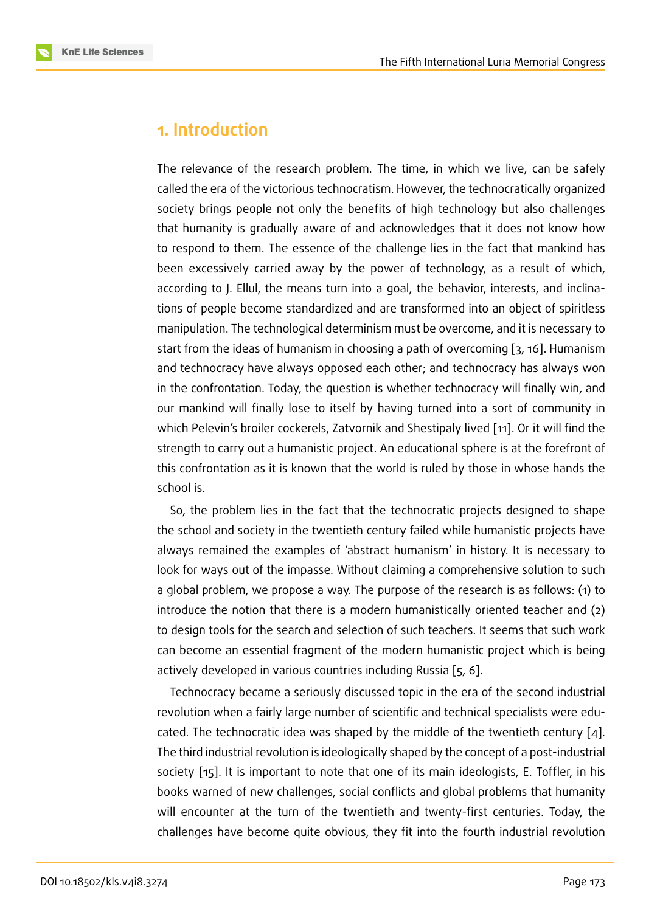### **1. Introduction**

The relevance of the research problem. The time, in which we live, can be safely called the era of the victorious technocratism. However, the technocratically organized society brings people not only the benefits of high technology but also challenges that humanity is gradually aware of and acknowledges that it does not know how to respond to them. The essence of the challenge lies in the fact that mankind has been excessively carried away by the power of technology, as a result of which, according to J. Ellul, the means turn into a goal, the behavior, interests, and inclinations of people become standardized and are transformed into an object of spiritless manipulation. The technological determinism must be overcome, and it is necessary to start from the ideas of humanism in choosing a path of overcoming [3, 16]. Humanism and technocracy have always opposed each other; and technocracy has always won in the confrontation. Today, the question is whether technocracy will finally win, and our mankind will finally lose to itself by having turned into a sort [o](#page-8-0)[f co](#page-9-0)mmunity in which Pelevin's broiler cockerels, Zatvornik and Shestipaly lived [11]. Or it will find the strength to carry out a humanistic project. An educational sphere is at the forefront of this confrontation as it is known that the world is ruled by thos[e in](#page-8-1) whose hands the school is.

So, the problem lies in the fact that the technocratic projects designed to shape the school and society in the twentieth century failed while humanistic projects have always remained the examples of 'abstract humanism' in history. It is necessary to look for ways out of the impasse. Without claiming a comprehensive solution to such a global problem, we propose a way. The purpose of the research is as follows: (1) to introduce the notion that there is a modern humanistically oriented teacher and (2) to design tools for the search and selection of such teachers. It seems that such work can become an essential fragment of the modern humanistic project which is being actively developed in various countries including Russia [5, 6].

Technocracy became a seriously discussed topic in the era of the second industrial revolution when a fairly large number of scientific and technical specialists were educated. The technocratic idea was shaped by the middle [of](#page-8-2) [th](#page-8-3)e twentieth century [4]. The third industrial revolution is ideologically shaped by the concept of a post-industrial society [15]. It is important to note that one of its main ideologists, E. Toffler, in his books warned of new challenges, social conflicts and global problems that huma[nit](#page-8-4)y will encounter at the turn of the twentieth and twenty-first centuries. Today, the challeng[es](#page-9-1) have become quite obvious, they fit into the fourth industrial revolution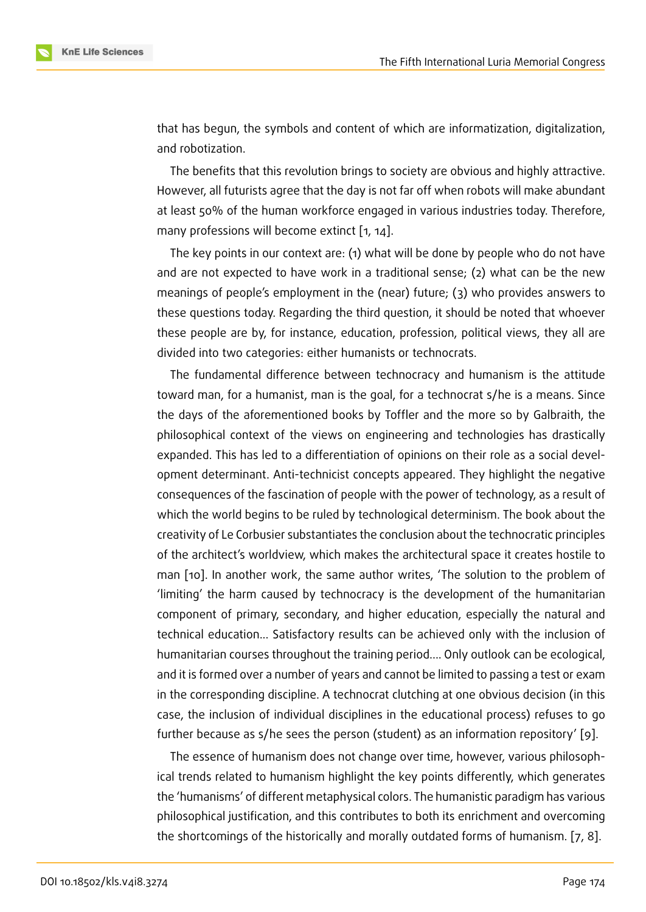that has begun, the symbols and content of which are informatization, digitalization, and robotization.

The benefits that this revolution brings to society are obvious and highly attractive. However, all futurists agree that the day is not far off when robots will make abundant at least 50% of the human workforce engaged in various industries today. Therefore, many professions will become extinct [1, 14].

The key points in our context are: (1) what will be done by people who do not have and are not expected to have work in a traditional sense; (2) what can be the new meanings of people's employment in t[he](#page-8-5) [\(n](#page-9-2)ear) future; (3) who provides answers to these questions today. Regarding the third question, it should be noted that whoever these people are by, for instance, education, profession, political views, they all are divided into two categories: either humanists or technocrats.

The fundamental difference between technocracy and humanism is the attitude toward man, for a humanist, man is the goal, for a technocrat s/he is a means. Since the days of the aforementioned books by Toffler and the more so by Galbraith, the philosophical context of the views on engineering and technologies has drastically expanded. This has led to a differentiation of opinions on their role as a social development determinant. Anti-technicist concepts appeared. They highlight the negative consequences of the fascination of people with the power of technology, as a result of which the world begins to be ruled by technological determinism. The book about the creativity of Le Corbusier substantiates the conclusion about the technocratic principles of the architect's worldview, which makes the architectural space it creates hostile to man [10]. In another work, the same author writes, 'The solution to the problem of 'limiting' the harm caused by technocracy is the development of the humanitarian component of primary, secondary, and higher education, especially the natural and techn[ica](#page-8-6)l education... Satisfactory results can be achieved only with the inclusion of humanitarian courses throughout the training period.... Only outlook can be ecological, and it is formed over a number of years and cannot be limited to passing a test or exam in the corresponding discipline. A technocrat clutching at one obvious decision (in this case, the inclusion of individual disciplines in the educational process) refuses to go further because as s/he sees the person (student) as an information repository' [9].

The essence of humanism does not change over time, however, various philosophical trends related to humanism highlight the key points differently, which generates the 'humanisms' of different metaphysical colors. The humanistic paradigm has var[io](#page-8-7)us philosophical justification, and this contributes to both its enrichment and overcoming the shortcomings of the historically and morally outdated forms of humanism. [7, 8].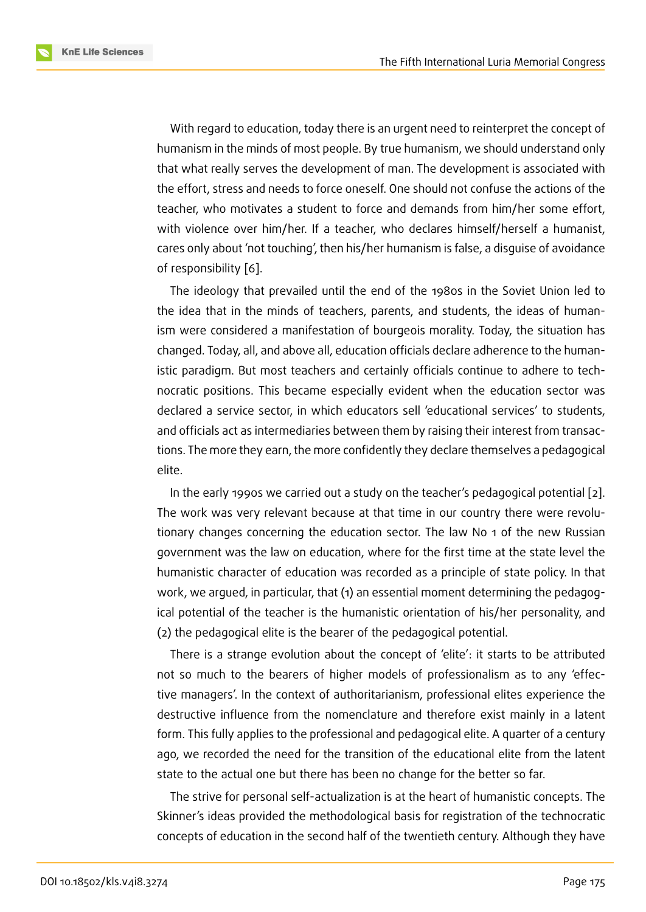With regard to education, today there is an urgent need to reinterpret the concept of humanism in the minds of most people. By true humanism, we should understand only that what really serves the development of man. The development is associated with the effort, stress and needs to force oneself. One should not confuse the actions of the teacher, who motivates a student to force and demands from him/her some effort, with violence over him/her. If a teacher, who declares himself/herself a humanist, cares only about 'not touching', then his/her humanism is false, a disguise of avoidance of responsibility [6].

The ideology that prevailed until the end of the 1980s in the Soviet Union led to the idea that in the minds of teachers, parents, and students, the ideas of humanism were consid[ere](#page-8-3)d a manifestation of bourgeois morality. Today, the situation has changed. Today, all, and above all, education officials declare adherence to the humanistic paradigm. But most teachers and certainly officials continue to adhere to technocratic positions. This became especially evident when the education sector was declared a service sector, in which educators sell 'educational services' to students, and officials act as intermediaries between them by raising their interest from transactions. The more they earn, the more confidently they declare themselves a pedagogical elite.

In the early 1990s we carried out a study on the teacher's pedagogical potential [2]. The work was very relevant because at that time in our country there were revolutionary changes concerning the education sector. The law No 1 of the new Russian government was the law on education, where for the first time at the state level [th](#page-8-10)e humanistic character of education was recorded as a principle of state policy. In that work, we argued, in particular, that (1) an essential moment determining the pedagogical potential of the teacher is the humanistic orientation of his/her personality, and (2) the pedagogical elite is the bearer of the pedagogical potential.

There is a strange evolution about the concept of 'elite': it starts to be attributed not so much to the bearers of higher models of professionalism as to any 'effective managers'. In the context of authoritarianism, professional elites experience the destructive influence from the nomenclature and therefore exist mainly in a latent form. This fully applies to the professional and pedagogical elite. A quarter of a century ago, we recorded the need for the transition of the educational elite from the latent state to the actual one but there has been no change for the better so far.

The strive for personal self-actualization is at the heart of humanistic concepts. The Skinner's ideas provided the methodological basis for registration of the technocratic concepts of education in the second half of the twentieth century. Although they have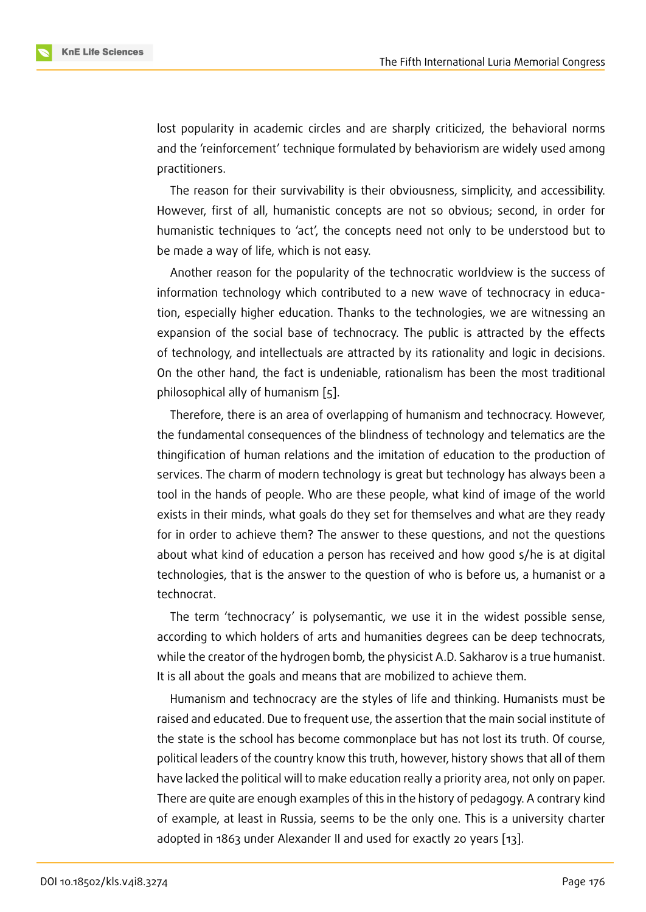lost popularity in academic circles and are sharply criticized, the behavioral norms and the 'reinforcement' technique formulated by behaviorism are widely used among practitioners.

The reason for their survivability is their obviousness, simplicity, and accessibility. However, first of all, humanistic concepts are not so obvious; second, in order for humanistic techniques to 'act', the concepts need not only to be understood but to be made a way of life, which is not easy.

Another reason for the popularity of the technocratic worldview is the success of information technology which contributed to a new wave of technocracy in education, especially higher education. Thanks to the technologies, we are witnessing an expansion of the social base of technocracy. The public is attracted by the effects of technology, and intellectuals are attracted by its rationality and logic in decisions. On the other hand, the fact is undeniable, rationalism has been the most traditional philosophical ally of humanism [5].

Therefore, there is an area of overlapping of humanism and technocracy. However, the fundamental consequences of the blindness of technology and telematics are the thingification of human relation[s](#page-8-2) and the imitation of education to the production of services. The charm of modern technology is great but technology has always been a tool in the hands of people. Who are these people, what kind of image of the world exists in their minds, what goals do they set for themselves and what are they ready for in order to achieve them? The answer to these questions, and not the questions about what kind of education a person has received and how good s/he is at digital technologies, that is the answer to the question of who is before us, a humanist or a technocrat.

The term 'technocracy' is polysemantic, we use it in the widest possible sense, according to which holders of arts and humanities degrees can be deep technocrats, while the creator of the hydrogen bomb, the physicist A.D. Sakharov is a true humanist. It is all about the goals and means that are mobilized to achieve them.

Humanism and technocracy are the styles of life and thinking. Humanists must be raised and educated. Due to frequent use, the assertion that the main social institute of the state is the school has become commonplace but has not lost its truth. Of course, political leaders of the country know this truth, however, history shows that all of them have lacked the political will to make education really a priority area, not only on paper. There are quite are enough examples of this in the history of pedagogy. A contrary kind of example, at least in Russia, seems to be the only one. This is a university charter adopted in 1863 under Alexander II and used for exactly 20 years [13].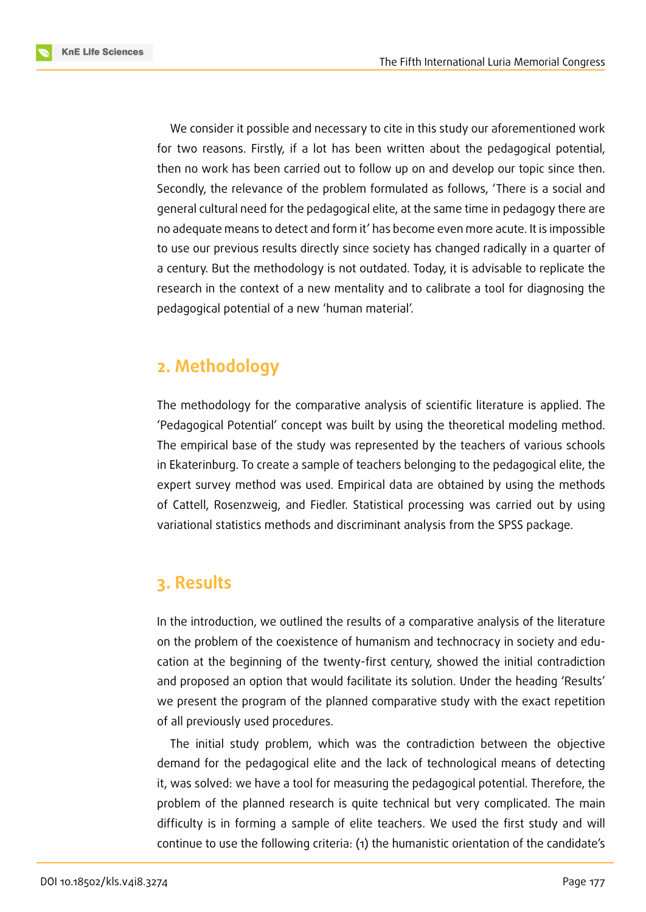**KnE Life Sciences** 

We consider it possible and necessary to cite in this study our aforementioned work for two reasons. Firstly, if a lot has been written about the pedagogical potential, then no work has been carried out to follow up on and develop our topic since then. Secondly, the relevance of the problem formulated as follows, 'There is a social and general cultural need for the pedagogical elite, at the same time in pedagogy there are no adequate means to detect and form it' has become even more acute. It is impossible to use our previous results directly since society has changed radically in a quarter of a century. But the methodology is not outdated. Today, it is advisable to replicate the research in the context of a new mentality and to calibrate a tool for diagnosing the pedagogical potential of a new 'human material'.

## **2. Methodology**

The methodology for the comparative analysis of scientific literature is applied. The 'Pedagogical Potential' concept was built by using the theoretical modeling method. The empirical base of the study was represented by the teachers of various schools in Ekaterinburg. To create a sample of teachers belonging to the pedagogical elite, the expert survey method was used. Empirical data are obtained by using the methods of Cattell, Rosenzweig, and Fiedler. Statistical processing was carried out by using variational statistics methods and discriminant analysis from the SPSS package.

### **3. Results**

In the introduction, we outlined the results of a comparative analysis of the literature on the problem of the coexistence of humanism and technocracy in society and education at the beginning of the twenty-first century, showed the initial contradiction and proposed an option that would facilitate its solution. Under the heading 'Results' we present the program of the planned comparative study with the exact repetition of all previously used procedures.

The initial study problem, which was the contradiction between the objective demand for the pedagogical elite and the lack of technological means of detecting it, was solved: we have a tool for measuring the pedagogical potential. Therefore, the problem of the planned research is quite technical but very complicated. The main difficulty is in forming a sample of elite teachers. We used the first study and will continue to use the following criteria: (1) the humanistic orientation of the candidate's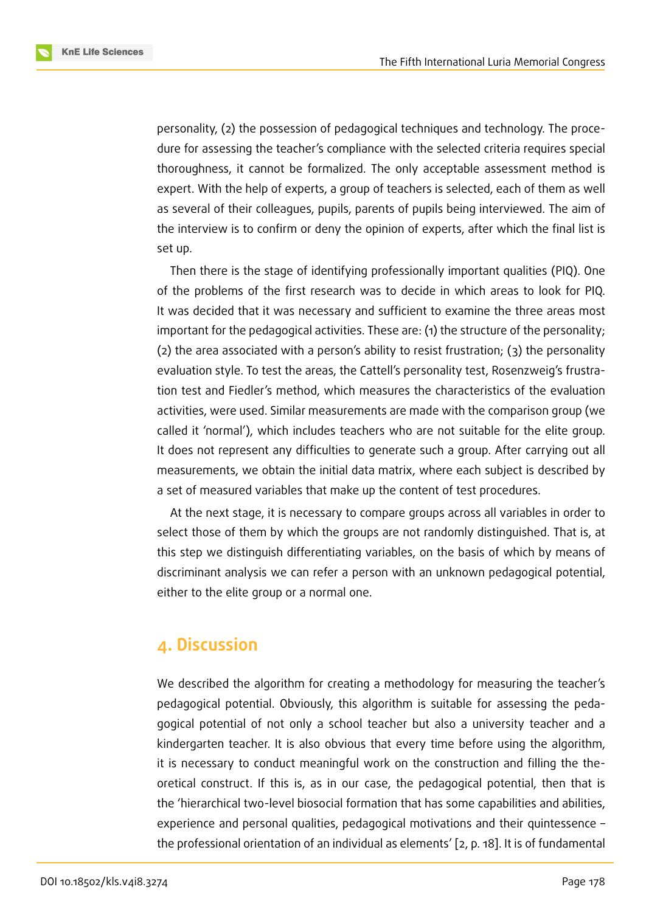

personality, (2) the possession of pedagogical techniques and technology. The procedure for assessing the teacher's compliance with the selected criteria requires special thoroughness, it cannot be formalized. The only acceptable assessment method is expert. With the help of experts, a group of teachers is selected, each of them as well as several of their colleagues, pupils, parents of pupils being interviewed. The aim of the interview is to confirm or deny the opinion of experts, after which the final list is set up.

Then there is the stage of identifying professionally important qualities (PIQ). One of the problems of the first research was to decide in which areas to look for PIQ. It was decided that it was necessary and sufficient to examine the three areas most important for the pedagogical activities. These are: (1) the structure of the personality; (2) the area associated with a person's ability to resist frustration; (3) the personality evaluation style. To test the areas, the Cattell's personality test, Rosenzweig's frustration test and Fiedler's method, which measures the characteristics of the evaluation activities, were used. Similar measurements are made with the comparison group (we called it 'normal'), which includes teachers who are not suitable for the elite group. It does not represent any difficulties to generate such a group. After carrying out all measurements, we obtain the initial data matrix, where each subject is described by a set of measured variables that make up the content of test procedures.

At the next stage, it is necessary to compare groups across all variables in order to select those of them by which the groups are not randomly distinguished. That is, at this step we distinguish differentiating variables, on the basis of which by means of discriminant analysis we can refer a person with an unknown pedagogical potential, either to the elite group or a normal one.

### **4. Discussion**

We described the algorithm for creating a methodology for measuring the teacher's pedagogical potential. Obviously, this algorithm is suitable for assessing the pedagogical potential of not only a school teacher but also a university teacher and a kindergarten teacher. It is also obvious that every time before using the algorithm, it is necessary to conduct meaningful work on the construction and filling the theoretical construct. If this is, as in our case, the pedagogical potential, then that is the 'hierarchical two-level biosocial formation that has some capabilities and abilities, experience and personal qualities, pedagogical motivations and their quintessence – the professional orientation of an individual as elements' [2, p. 18]. It is of fundamental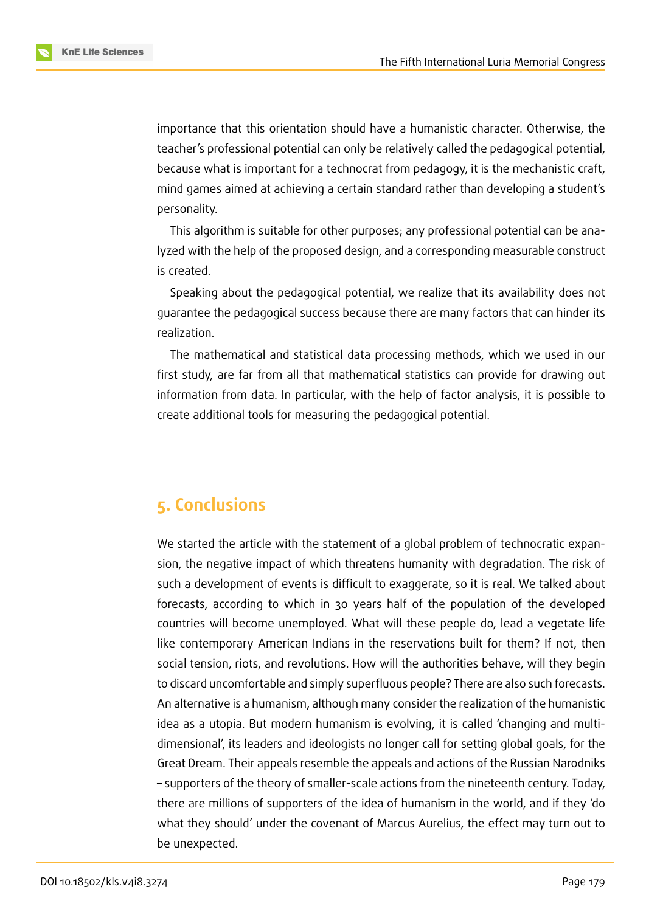importance that this orientation should have a humanistic character. Otherwise, the teacher's professional potential can only be relatively called the pedagogical potential, because what is important for a technocrat from pedagogy, it is the mechanistic craft, mind games aimed at achieving a certain standard rather than developing a student's personality.

This algorithm is suitable for other purposes; any professional potential can be analyzed with the help of the proposed design, and a corresponding measurable construct is created.

Speaking about the pedagogical potential, we realize that its availability does not guarantee the pedagogical success because there are many factors that can hinder its realization.

The mathematical and statistical data processing methods, which we used in our first study, are far from all that mathematical statistics can provide for drawing out information from data. In particular, with the help of factor analysis, it is possible to create additional tools for measuring the pedagogical potential.

### **5. Conclusions**

We started the article with the statement of a global problem of technocratic expansion, the negative impact of which threatens humanity with degradation. The risk of such a development of events is difficult to exaggerate, so it is real. We talked about forecasts, according to which in 30 years half of the population of the developed countries will become unemployed. What will these people do, lead a vegetate life like contemporary American Indians in the reservations built for them? If not, then social tension, riots, and revolutions. How will the authorities behave, will they begin to discard uncomfortable and simply superfluous people? There are also such forecasts. An alternative is a humanism, although many consider the realization of the humanistic idea as a utopia. But modern humanism is evolving, it is called 'changing and multidimensional', its leaders and ideologists no longer call for setting global goals, for the Great Dream. Their appeals resemble the appeals and actions of the Russian Narodniks – supporters of the theory of smaller-scale actions from the nineteenth century. Today, there are millions of supporters of the idea of humanism in the world, and if they 'do what they should' under the covenant of Marcus Aurelius, the effect may turn out to be unexpected.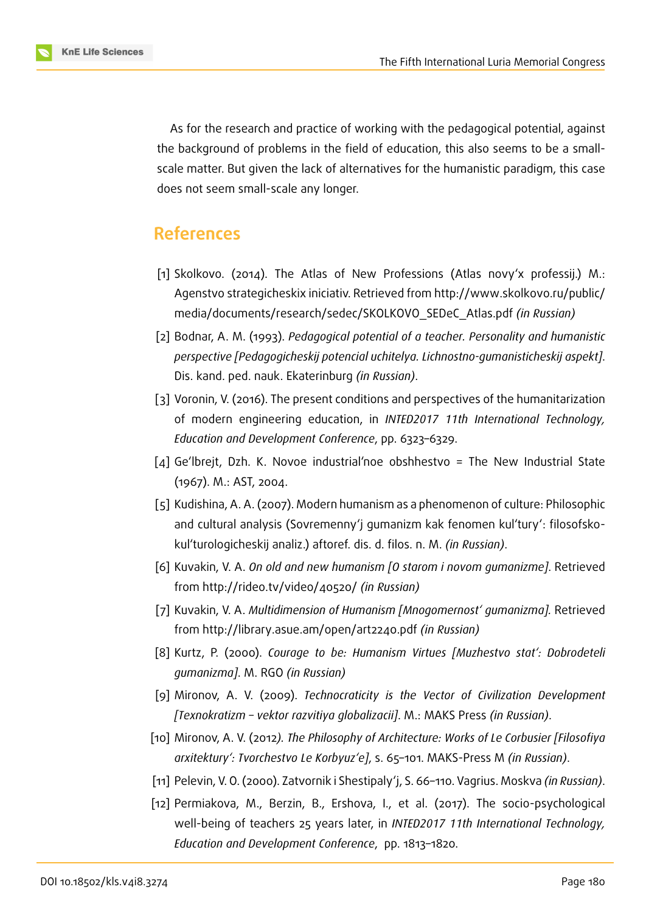As for the research and practice of working with the pedagogical potential, against the background of problems in the field of education, this also seems to be a smallscale matter. But given the lack of alternatives for the humanistic paradigm, this case does not seem small-scale any longer.

### **References**

- [1] Skolkovo. (2014). The Atlas of New Professions (Atlas novy'x professij.) M.: Agenstvo strategicheskix iniciativ. Retrieved from http://www.skolkovo.ru/public/ media/documents/research/sedec/SKOLKOVO\_SEDeC\_Atlas.pdf *(in Russian)*
- <span id="page-8-5"></span>[2] Bodnar, A. M. (1993). *Pedagogical potential of a teacher. Personality and humanistic [perspective \[Pedagogicheskij potencial uchitelya. Lichnostno-gumanisticheskij aspekt\]](http://www.skolkovo.ru/public/media/documents/research/sedec/SKOLKOVO_SEDeC_Atlas.pdf)*. Dis. kand. ped. nauk. Ekaterinburg *(in Russian)*.
- <span id="page-8-10"></span>[3] Voronin, V. (2016). The present conditions and perspectives of the humanitarization of modern engineering education, in *INTED2017 11th International Technology, Education and Development Conference*, pp. 6323–6329.
- <span id="page-8-0"></span>[4] Ge'lbrejt, Dzh. K. Novoe industrial'noe obshhestvo = The New Industrial State (1967). M.: AST, 2004.
- <span id="page-8-4"></span>[5] Kudishina, A. A. (2007). Modern humanism as a phenomenon of culture: Philosophic and cultural analysis (Sovremenny'j gumanizm kak fenomen kul'tury': filosofskokul'turologicheskij analiz.) aftoref. dis. d. filos. n. M. *(in Russian)*.
- <span id="page-8-2"></span>[6] Kuvakin, V. A. *On old and new humanism [O starom i novom gumanizme]*. Retrieved from http://rideo.tv/video/40520/ *(in Russian)*
- <span id="page-8-3"></span>[7] Kuvakin, V. A. *Multidimension of Humanism [Mnogomernost' gumanizma].* Retrieved from [http://library.asue.am/open/a](http://rideo.tv/video/40520/)rt2240.pdf *(in Russian)*
- <span id="page-8-8"></span>[8] Kurtz, P. (2000). *Courage to be: Humanism Virtues [Muzhestvo stat': Dobrodeteli gumanizma]*. M. RGO *(in Russian)*
- <span id="page-8-9"></span>[9] Mironov, A. V. (2009). *[Technocraticity is the](http://library.asue.am/open/art2240.pdf) Vector of Civilization Development [Texnokratizm – vektor razvitiya globalizacii]*. M.: MAKS Press *(in Russian)*.
- <span id="page-8-7"></span>[10] Mironov, A. V. (2012*). The Philosophy of Architecture: Works of Le Corbusier [Filosofiya arxitektury': Tvorchestvo Le Korbyuz'e]*, s. 65–101. MAKS-Press M *(in Russian)*.
- <span id="page-8-6"></span>[11] Pelevin, V. O. (2000). Zatvornik i Shestipaly'j, S. 66–110. Vagrius. Moskva *(in Russian)*.
- <span id="page-8-1"></span>[12] Permiakova, M., Berzin, B., Ershova, I., et al. (2017). The socio-psychological well-being of teachers 25 years later, in *INTED2017 11th International Technology, Education and Development Conference*, pp. 1813–1820.